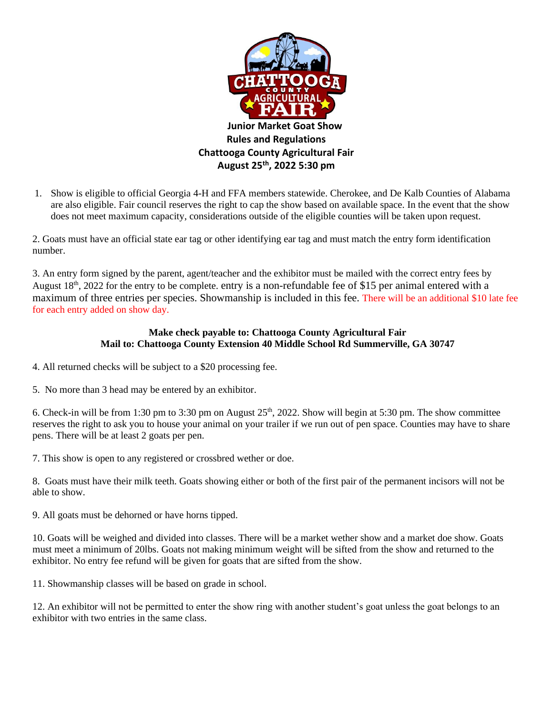

1. Show is eligible to official Georgia 4-H and FFA members statewide. Cherokee, and De Kalb Counties of Alabama are also eligible. Fair council reserves the right to cap the show based on available space. In the event that the show does not meet maximum capacity, considerations outside of the eligible counties will be taken upon request.

2. Goats must have an official state ear tag or other identifying ear tag and must match the entry form identification number.

3. An entry form signed by the parent, agent/teacher and the exhibitor must be mailed with the correct entry fees by August 18<sup>th</sup>, 2022 for the entry to be complete. entry is a non-refundable fee of \$15 per animal entered with a maximum of three entries per species. Showmanship is included in this fee. There will be an additional \$10 late fee for each entry added on show day.

## **Make check payable to: Chattooga County Agricultural Fair Mail to: Chattooga County Extension 40 Middle School Rd Summerville, GA 30747**

- 4. All returned checks will be subject to a \$20 processing fee.
- 5. No more than 3 head may be entered by an exhibitor.

6. Check-in will be from 1:30 pm to 3:30 pm on August 25<sup>th</sup>, 2022. Show will begin at 5:30 pm. The show committee reserves the right to ask you to house your animal on your trailer if we run out of pen space. Counties may have to share pens. There will be at least 2 goats per pen.

7. This show is open to any registered or crossbred wether or doe.

8. Goats must have their milk teeth. Goats showing either or both of the first pair of the permanent incisors will not be able to show.

9. All goats must be dehorned or have horns tipped.

10. Goats will be weighed and divided into classes. There will be a market wether show and a market doe show. Goats must meet a minimum of 20lbs. Goats not making minimum weight will be sifted from the show and returned to the exhibitor. No entry fee refund will be given for goats that are sifted from the show.

11. Showmanship classes will be based on grade in school.

12. An exhibitor will not be permitted to enter the show ring with another student's goat unless the goat belongs to an exhibitor with two entries in the same class.